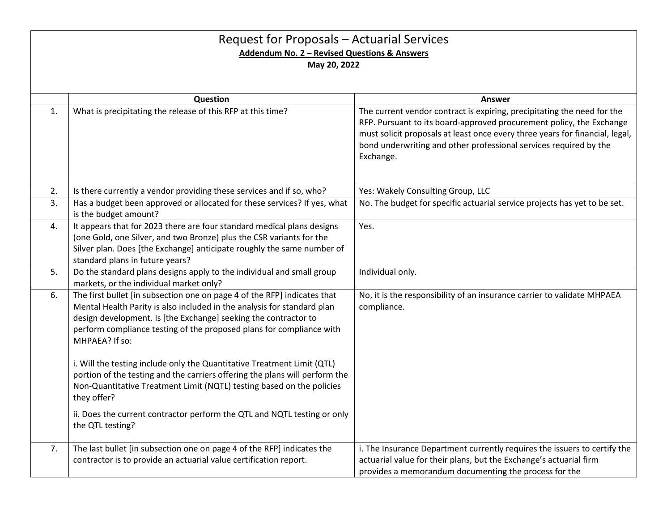| Request for Proposals - Actuarial Services<br>Addendum No. 2 - Revised Questions & Answers<br>May 20, 2022 |                                                                                                                                                                                                                                                                                                                  |                                                                                                                                                                                                                                                                                                                   |  |  |
|------------------------------------------------------------------------------------------------------------|------------------------------------------------------------------------------------------------------------------------------------------------------------------------------------------------------------------------------------------------------------------------------------------------------------------|-------------------------------------------------------------------------------------------------------------------------------------------------------------------------------------------------------------------------------------------------------------------------------------------------------------------|--|--|
|                                                                                                            | Question                                                                                                                                                                                                                                                                                                         | <b>Answer</b>                                                                                                                                                                                                                                                                                                     |  |  |
| 1.                                                                                                         | What is precipitating the release of this RFP at this time?                                                                                                                                                                                                                                                      | The current vendor contract is expiring, precipitating the need for the<br>RFP. Pursuant to its board-approved procurement policy, the Exchange<br>must solicit proposals at least once every three years for financial, legal,<br>bond underwriting and other professional services required by the<br>Exchange. |  |  |
| 2.                                                                                                         | Is there currently a vendor providing these services and if so, who?                                                                                                                                                                                                                                             | Yes: Wakely Consulting Group, LLC                                                                                                                                                                                                                                                                                 |  |  |
| 3.                                                                                                         | Has a budget been approved or allocated for these services? If yes, what<br>is the budget amount?                                                                                                                                                                                                                | No. The budget for specific actuarial service projects has yet to be set.                                                                                                                                                                                                                                         |  |  |
| 4.                                                                                                         | It appears that for 2023 there are four standard medical plans designs<br>(one Gold, one Silver, and two Bronze) plus the CSR variants for the<br>Silver plan. Does [the Exchange] anticipate roughly the same number of<br>standard plans in future years?                                                      | Yes.                                                                                                                                                                                                                                                                                                              |  |  |
| 5.                                                                                                         | Do the standard plans designs apply to the individual and small group<br>markets, or the individual market only?                                                                                                                                                                                                 | Individual only.                                                                                                                                                                                                                                                                                                  |  |  |
| 6.                                                                                                         | The first bullet [in subsection one on page 4 of the RFP] indicates that<br>Mental Health Parity is also included in the analysis for standard plan<br>design development. Is [the Exchange] seeking the contractor to<br>perform compliance testing of the proposed plans for compliance with<br>MHPAEA? If so: | No, it is the responsibility of an insurance carrier to validate MHPAEA<br>compliance.                                                                                                                                                                                                                            |  |  |
|                                                                                                            | i. Will the testing include only the Quantitative Treatment Limit (QTL)<br>portion of the testing and the carriers offering the plans will perform the<br>Non-Quantitative Treatment Limit (NQTL) testing based on the policies<br>they offer?                                                                   |                                                                                                                                                                                                                                                                                                                   |  |  |
|                                                                                                            | ii. Does the current contractor perform the QTL and NQTL testing or only<br>the QTL testing?                                                                                                                                                                                                                     |                                                                                                                                                                                                                                                                                                                   |  |  |
| 7.                                                                                                         | The last bullet [in subsection one on page 4 of the RFP] indicates the<br>contractor is to provide an actuarial value certification report.                                                                                                                                                                      | i. The Insurance Department currently requires the issuers to certify the<br>actuarial value for their plans, but the Exchange's actuarial firm<br>provides a memorandum documenting the process for the                                                                                                          |  |  |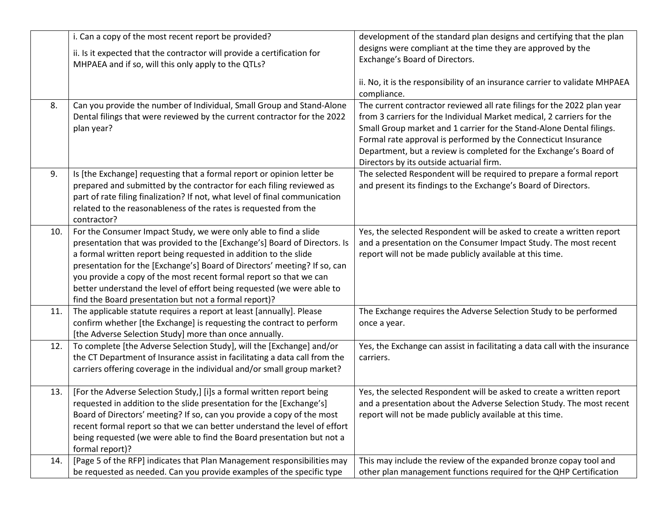|     | i. Can a copy of the most recent report be provided?<br>ii. Is it expected that the contractor will provide a certification for                                                                                                                                                                                                                                                                                                                                                                         | development of the standard plan designs and certifying that the plan<br>designs were compliant at the time they are approved by the                                                                                                                                                                                                                                                                        |
|-----|---------------------------------------------------------------------------------------------------------------------------------------------------------------------------------------------------------------------------------------------------------------------------------------------------------------------------------------------------------------------------------------------------------------------------------------------------------------------------------------------------------|-------------------------------------------------------------------------------------------------------------------------------------------------------------------------------------------------------------------------------------------------------------------------------------------------------------------------------------------------------------------------------------------------------------|
|     | MHPAEA and if so, will this only apply to the QTLs?                                                                                                                                                                                                                                                                                                                                                                                                                                                     | Exchange's Board of Directors.<br>ii. No, it is the responsibility of an insurance carrier to validate MHPAEA                                                                                                                                                                                                                                                                                               |
|     |                                                                                                                                                                                                                                                                                                                                                                                                                                                                                                         | compliance.                                                                                                                                                                                                                                                                                                                                                                                                 |
| 8.  | Can you provide the number of Individual, Small Group and Stand-Alone<br>Dental filings that were reviewed by the current contractor for the 2022<br>plan year?                                                                                                                                                                                                                                                                                                                                         | The current contractor reviewed all rate filings for the 2022 plan year<br>from 3 carriers for the Individual Market medical, 2 carriers for the<br>Small Group market and 1 carrier for the Stand-Alone Dental filings.<br>Formal rate approval is performed by the Connecticut Insurance<br>Department, but a review is completed for the Exchange's Board of<br>Directors by its outside actuarial firm. |
| 9.  | Is [the Exchange] requesting that a formal report or opinion letter be<br>prepared and submitted by the contractor for each filing reviewed as<br>part of rate filing finalization? If not, what level of final communication<br>related to the reasonableness of the rates is requested from the<br>contractor?                                                                                                                                                                                        | The selected Respondent will be required to prepare a formal report<br>and present its findings to the Exchange's Board of Directors.                                                                                                                                                                                                                                                                       |
| 10. | For the Consumer Impact Study, we were only able to find a slide<br>presentation that was provided to the [Exchange's] Board of Directors. Is<br>a formal written report being requested in addition to the slide<br>presentation for the [Exchange's] Board of Directors' meeting? If so, can<br>you provide a copy of the most recent formal report so that we can<br>better understand the level of effort being requested (we were able to<br>find the Board presentation but not a formal report)? | Yes, the selected Respondent will be asked to create a written report<br>and a presentation on the Consumer Impact Study. The most recent<br>report will not be made publicly available at this time.                                                                                                                                                                                                       |
| 11. | The applicable statute requires a report at least [annually]. Please<br>confirm whether [the Exchange] is requesting the contract to perform<br>[the Adverse Selection Study] more than once annually.                                                                                                                                                                                                                                                                                                  | The Exchange requires the Adverse Selection Study to be performed<br>once a year.                                                                                                                                                                                                                                                                                                                           |
| 12. | To complete [the Adverse Selection Study], will the [Exchange] and/or<br>the CT Department of Insurance assist in facilitating a data call from the<br>carriers offering coverage in the individual and/or small group market?                                                                                                                                                                                                                                                                          | Yes, the Exchange can assist in facilitating a data call with the insurance<br>carriers.                                                                                                                                                                                                                                                                                                                    |
| 13. | [For the Adverse Selection Study,] [i]s a formal written report being<br>requested in addition to the slide presentation for the [Exchange's]<br>Board of Directors' meeting? If so, can you provide a copy of the most<br>recent formal report so that we can better understand the level of effort<br>being requested (we were able to find the Board presentation but not a<br>formal report)?                                                                                                       | Yes, the selected Respondent will be asked to create a written report<br>and a presentation about the Adverse Selection Study. The most recent<br>report will not be made publicly available at this time.                                                                                                                                                                                                  |
| 14. | [Page 5 of the RFP] indicates that Plan Management responsibilities may<br>be requested as needed. Can you provide examples of the specific type                                                                                                                                                                                                                                                                                                                                                        | This may include the review of the expanded bronze copay tool and<br>other plan management functions required for the QHP Certification                                                                                                                                                                                                                                                                     |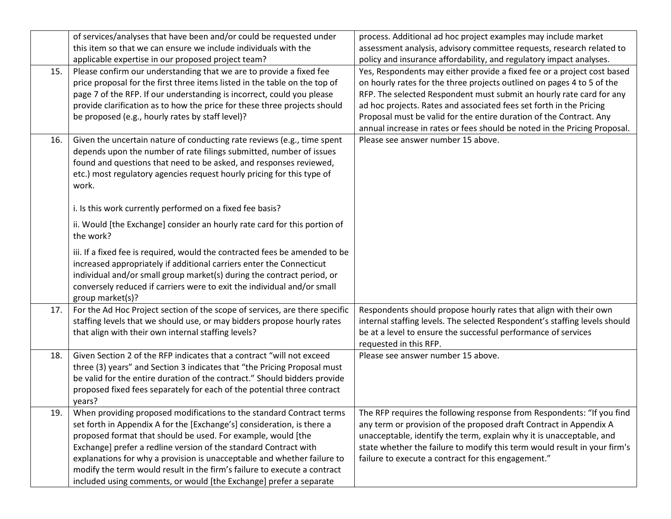|     | of services/analyses that have been and/or could be requested under                                                                                                                                                                                                                                                                                                                                                                                                                                             | process. Additional ad hoc project examples may include market                                                                                                                                                                                                                                                                                                                                                                                       |
|-----|-----------------------------------------------------------------------------------------------------------------------------------------------------------------------------------------------------------------------------------------------------------------------------------------------------------------------------------------------------------------------------------------------------------------------------------------------------------------------------------------------------------------|------------------------------------------------------------------------------------------------------------------------------------------------------------------------------------------------------------------------------------------------------------------------------------------------------------------------------------------------------------------------------------------------------------------------------------------------------|
|     | this item so that we can ensure we include individuals with the                                                                                                                                                                                                                                                                                                                                                                                                                                                 | assessment analysis, advisory committee requests, research related to                                                                                                                                                                                                                                                                                                                                                                                |
|     | applicable expertise in our proposed project team?                                                                                                                                                                                                                                                                                                                                                                                                                                                              | policy and insurance affordability, and regulatory impact analyses.                                                                                                                                                                                                                                                                                                                                                                                  |
| 15. | Please confirm our understanding that we are to provide a fixed fee<br>price proposal for the first three items listed in the table on the top of<br>page 7 of the RFP. If our understanding is incorrect, could you please<br>provide clarification as to how the price for these three projects should<br>be proposed (e.g., hourly rates by staff level)?                                                                                                                                                    | Yes, Respondents may either provide a fixed fee or a project cost based<br>on hourly rates for the three projects outlined on pages 4 to 5 of the<br>RFP. The selected Respondent must submit an hourly rate card for any<br>ad hoc projects. Rates and associated fees set forth in the Pricing<br>Proposal must be valid for the entire duration of the Contract. Any<br>annual increase in rates or fees should be noted in the Pricing Proposal. |
| 16. | Given the uncertain nature of conducting rate reviews (e.g., time spent<br>depends upon the number of rate filings submitted, number of issues<br>found and questions that need to be asked, and responses reviewed,<br>etc.) most regulatory agencies request hourly pricing for this type of<br>work.                                                                                                                                                                                                         | Please see answer number 15 above.                                                                                                                                                                                                                                                                                                                                                                                                                   |
|     | i. Is this work currently performed on a fixed fee basis?                                                                                                                                                                                                                                                                                                                                                                                                                                                       |                                                                                                                                                                                                                                                                                                                                                                                                                                                      |
|     | ii. Would [the Exchange] consider an hourly rate card for this portion of<br>the work?                                                                                                                                                                                                                                                                                                                                                                                                                          |                                                                                                                                                                                                                                                                                                                                                                                                                                                      |
|     | iii. If a fixed fee is required, would the contracted fees be amended to be<br>increased appropriately if additional carriers enter the Connecticut<br>individual and/or small group market(s) during the contract period, or<br>conversely reduced if carriers were to exit the individual and/or small<br>group market(s)?                                                                                                                                                                                    |                                                                                                                                                                                                                                                                                                                                                                                                                                                      |
| 17. | For the Ad Hoc Project section of the scope of services, are there specific<br>staffing levels that we should use, or may bidders propose hourly rates<br>that align with their own internal staffing levels?                                                                                                                                                                                                                                                                                                   | Respondents should propose hourly rates that align with their own<br>internal staffing levels. The selected Respondent's staffing levels should<br>be at a level to ensure the successful performance of services<br>requested in this RFP.                                                                                                                                                                                                          |
| 18. | Given Section 2 of the RFP indicates that a contract "will not exceed<br>three (3) years" and Section 3 indicates that "the Pricing Proposal must<br>be valid for the entire duration of the contract." Should bidders provide<br>proposed fixed fees separately for each of the potential three contract<br>years?                                                                                                                                                                                             | Please see answer number 15 above.                                                                                                                                                                                                                                                                                                                                                                                                                   |
| 19. | When providing proposed modifications to the standard Contract terms<br>set forth in Appendix A for the [Exchange's] consideration, is there a<br>proposed format that should be used. For example, would [the<br>Exchange] prefer a redline version of the standard Contract with<br>explanations for why a provision is unacceptable and whether failure to<br>modify the term would result in the firm's failure to execute a contract<br>included using comments, or would [the Exchange] prefer a separate | The RFP requires the following response from Respondents: "If you find<br>any term or provision of the proposed draft Contract in Appendix A<br>unacceptable, identify the term, explain why it is unacceptable, and<br>state whether the failure to modify this term would result in your firm's<br>failure to execute a contract for this engagement."                                                                                             |